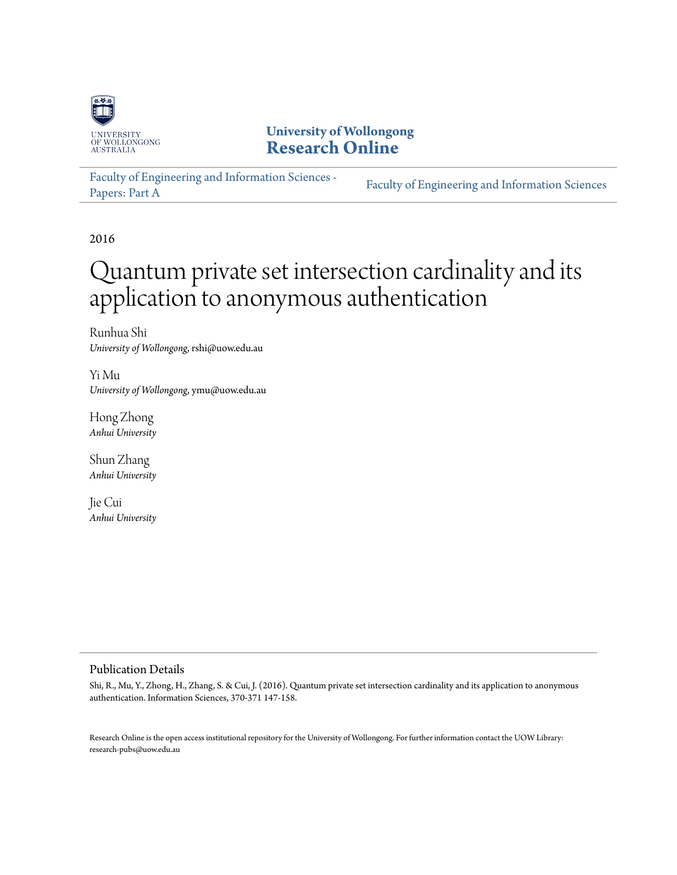

# **University of Wollongong [Research Online](http://ro.uow.edu.au)**

[Faculty of Engineering and Information Sciences -](http://ro.uow.edu.au/eispapers) [Papers: Part A](http://ro.uow.edu.au/eispapers) [Faculty of Engineering and Information Sciences](http://ro.uow.edu.au/eis)

2016

# Quantum private set intersection cardinality and its application to anonymous authentication

Runhua Shi *University of Wollongong*, rshi@uow.edu.au

Yi Mu *University of Wollongong*, ymu@uow.edu.au

Hong Zhong *Anhui University*

Shun Zhang *Anhui University*

Jie Cui *Anhui University*

## Publication Details

Shi, R., Mu, Y., Zhong, H., Zhang, S. & Cui, J. (2016). Quantum private set intersection cardinality and its application to anonymous authentication. Information Sciences, 370-371 147-158.

Research Online is the open access institutional repository for the University of Wollongong. For further information contact the UOW Library: research-pubs@uow.edu.au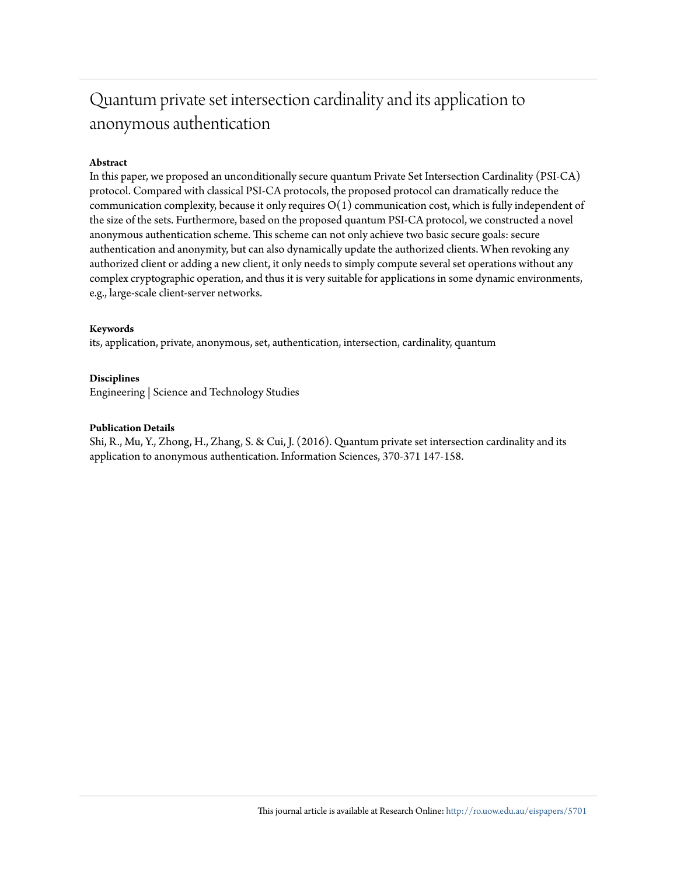# Quantum private set intersection cardinality and its application to anonymous authentication

# **Abstract**

In this paper, we proposed an unconditionally secure quantum Private Set Intersection Cardinality (PSI-CA) protocol. Compared with classical PSI-CA protocols, the proposed protocol can dramatically reduce the communication complexity, because it only requires  $O(1)$  communication cost, which is fully independent of the size of the sets. Furthermore, based on the proposed quantum PSI-CA protocol, we constructed a novel anonymous authentication scheme. This scheme can not only achieve two basic secure goals: secure authentication and anonymity, but can also dynamically update the authorized clients. When revoking any authorized client or adding a new client, it only needs to simply compute several set operations without any complex cryptographic operation, and thus it is very suitable for applications in some dynamic environments, e.g., large-scale client-server networks.

## **Keywords**

its, application, private, anonymous, set, authentication, intersection, cardinality, quantum

### **Disciplines**

Engineering | Science and Technology Studies

### **Publication Details**

Shi, R., Mu, Y., Zhong, H., Zhang, S. & Cui, J. (2016). Quantum private set intersection cardinality and its application to anonymous authentication. Information Sciences, 370-371 147-158.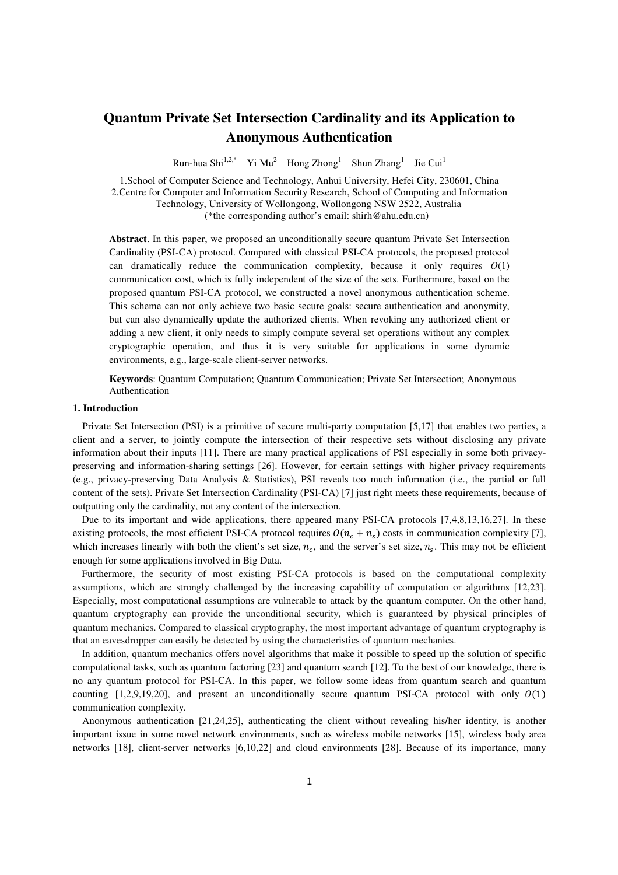# **Quantum Private Set Intersection Cardinality and its Application to Anonymous Authentication**

Run-hua Shi<sup>1,2,\*</sup> Yi Mu<sup>2</sup> Hong Zhong<sup>1</sup> Shun  $Zhang<sup>1</sup>$  Jie Cui<sup>1</sup>

1.School of Computer Science and Technology, Anhui University, Hefei City, 230601, China 2.Centre for Computer and Information Security Research, School of Computing and Information Technology, University of Wollongong, Wollongong NSW 2522, Australia (\*the corresponding author's email: shirh@ahu.edu.cn)

**Abstract**. In this paper, we proposed an unconditionally secure quantum Private Set Intersection Cardinality (PSI-CA) protocol. Compared with classical PSI-CA protocols, the proposed protocol can dramatically reduce the communication complexity, because it only requires *O*(1) communication cost, which is fully independent of the size of the sets. Furthermore, based on the proposed quantum PSI-CA protocol, we constructed a novel anonymous authentication scheme. This scheme can not only achieve two basic secure goals: secure authentication and anonymity, but can also dynamically update the authorized clients. When revoking any authorized client or adding a new client, it only needs to simply compute several set operations without any complex cryptographic operation, and thus it is very suitable for applications in some dynamic environments, e.g., large-scale client-server networks.

**Keywords**: Quantum Computation; Quantum Communication; Private Set Intersection; Anonymous Authentication

#### **1. Introduction**

Private Set Intersection (PSI) is a primitive of secure multi-party computation [5,17] that enables two parties, a client and a server, to jointly compute the intersection of their respective sets without disclosing any private information about their inputs [11]. There are many practical applications of PSI especially in some both privacypreserving and information-sharing settings [26]. However, for certain settings with higher privacy requirements (e.g., privacy-preserving Data Analysis & Statistics), PSI reveals too much information (i.e., the partial or full content of the sets). Private Set Intersection Cardinality (PSI-CA) [7] just right meets these requirements, because of outputting only the cardinality, not any content of the intersection.

Due to its important and wide applications, there appeared many PSI-CA protocols [7,4,8,13,16,27]. In these existing protocols, the most efficient PSI-CA protocol requires  $O(n_c + n_s)$  costs in communication complexity [7], which increases linearly with both the client's set size,  $n_c$ , and the server's set size,  $n_s$ . This may not be efficient enough for some applications involved in Big Data.

Furthermore, the security of most existing PSI-CA protocols is based on the computational complexity assumptions, which are strongly challenged by the increasing capability of computation or algorithms [12,23]. Especially, most computational assumptions are vulnerable to attack by the quantum computer. On the other hand, quantum cryptography can provide the unconditional security, which is guaranteed by physical principles of quantum mechanics. Compared to classical cryptography, the most important advantage of quantum cryptography is that an eavesdropper can easily be detected by using the characteristics of quantum mechanics.

In addition, quantum mechanics offers novel algorithms that make it possible to speed up the solution of specific computational tasks, such as quantum factoring [23] and quantum search [12]. To the best of our knowledge, there is no any quantum protocol for PSI-CA. In this paper, we follow some ideas from quantum search and quantum counting  $[1,2,9,19,20]$ , and present an unconditionally secure quantum PSI-CA protocol with only  $O(1)$ communication complexity.

Anonymous authentication [21,24,25], authenticating the client without revealing his/her identity, is another important issue in some novel network environments, such as wireless mobile networks [15], wireless body area networks [18], client-server networks [6,10,22] and cloud environments [28]. Because of its importance, many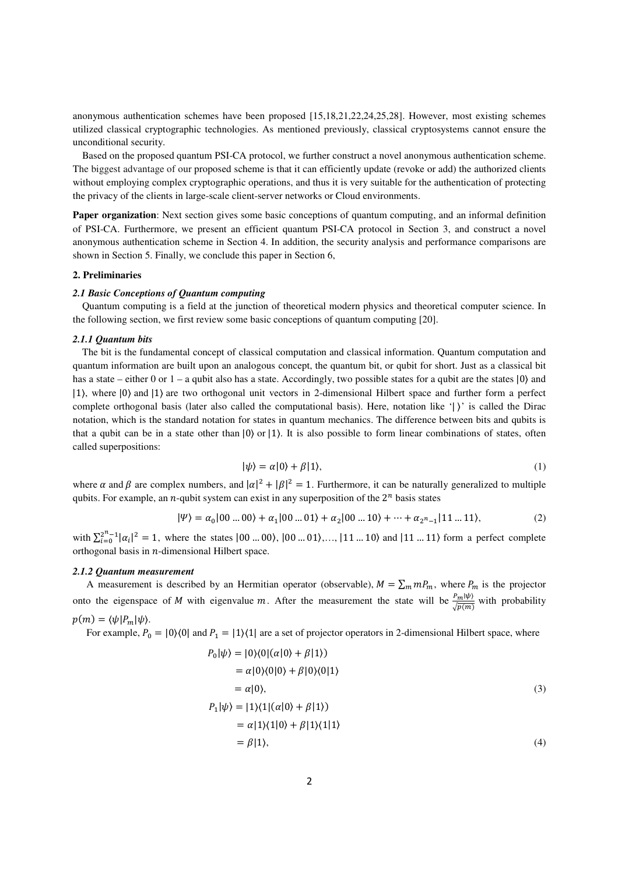anonymous authentication schemes have been proposed [15,18,21,22,24,25,28]. However, most existing schemes utilized classical cryptographic technologies. As mentioned previously, classical cryptosystems cannot ensure the unconditional security.

Based on the proposed quantum PSI-CA protocol, we further construct a novel anonymous authentication scheme. The biggest advantage of our proposed scheme is that it can efficiently update (revoke or add) the authorized clients without employing complex cryptographic operations, and thus it is very suitable for the authentication of protecting the privacy of the clients in large-scale client-server networks or Cloud environments.

**Paper organization**: Next section gives some basic conceptions of quantum computing, and an informal definition of PSI-CA. Furthermore, we present an efficient quantum PSI-CA protocol in Section 3, and construct a novel anonymous authentication scheme in Section 4. In addition, the security analysis and performance comparisons are shown in Section 5. Finally, we conclude this paper in Section 6,

#### **2. Preliminaries**

#### *2.1 Basic Conceptions of Quantum computing*

Quantum computing is a field at the junction of theoretical modern physics and theoretical computer science. In the following section, we first review some basic conceptions of quantum computing [20].

#### *2.1.1 Quantum bits*

The bit is the fundamental concept of classical computation and classical information. Quantum computation and quantum information are built upon an analogous concept, the quantum bit, or qubit for short. Just as a classical bit has a state – either 0 or  $1 - a$  qubit also has a state. Accordingly, two possible states for a qubit are the states  $|0\rangle$  and |1⟩, where |0⟩ and |1⟩ are two orthogonal unit vectors in 2-dimensional Hilbert space and further form a perfect complete orthogonal basis (later also called the computational basis). Here, notation like '|  $\prime$ ' is called the Dirac notation, which is the standard notation for states in quantum mechanics. The difference between bits and qubits is that a qubit can be in a state other than  $|0\rangle$  or  $|1\rangle$ . It is also possible to form linear combinations of states, often called superpositions:

$$
|\psi\rangle = \alpha|0\rangle + \beta|1\rangle, \tag{1}
$$

where  $\alpha$  and  $\beta$  are complex numbers, and  $|\alpha|^2 + |\beta|^2 = 1$ . Furthermore, it can be naturally generalized to multiple qubits. For example, an *n*-qubit system can exist in any superposition of the  $2^n$  basis states

$$
|\Psi\rangle = \alpha_0|00...00\rangle + \alpha_1|00...01\rangle + \alpha_2|00...10\rangle + \dots + \alpha_{2^n-1}|11...11\rangle, \tag{2}
$$

with  $\sum_{i=0}^{2^{n}-1} |\alpha_{i}|^{2} = 1$ , where the states  $|00...00\rangle, |00...01\rangle,..., |11...10\rangle$  and  $|11...11\rangle$  form a perfect complete orthogonal basis in  $n$ -dimensional Hilbert space.

#### *2.1.2 Quantum measurement*

A measurement is described by an Hermitian operator (observable),  $M = \sum_m m P_m$ , where  $P_m$  is the projector onto the eigenspace of M with eigenvalue m. After the measurement the state will be  $\frac{P_m|\psi\rangle}{\sqrt{p(m)}}$  with probability  $p(m) = \langle \psi | P_m | \psi \rangle$ .

For example,  $P_0 = |0\rangle\langle 0|$  and  $P_1 = |1\rangle\langle 1|$  are a set of projector operators in 2-dimensional Hilbert space, where

$$
P_0|\psi\rangle = |0\rangle\langle 0|(\alpha|0\rangle + \beta|1\rangle)
$$
  
=  $\alpha|0\rangle\langle 0|0\rangle + \beta|0\rangle\langle 0|1\rangle$   
=  $\alpha|0\rangle$ ,  

$$
P_1|\psi\rangle = |1\rangle\langle 1|(\alpha|0\rangle + \beta|1\rangle)
$$
  
=  $\alpha|1\rangle\langle 1|0\rangle + \beta|1\rangle\langle 1|1\rangle$   
=  $\beta|1\rangle$ , (4)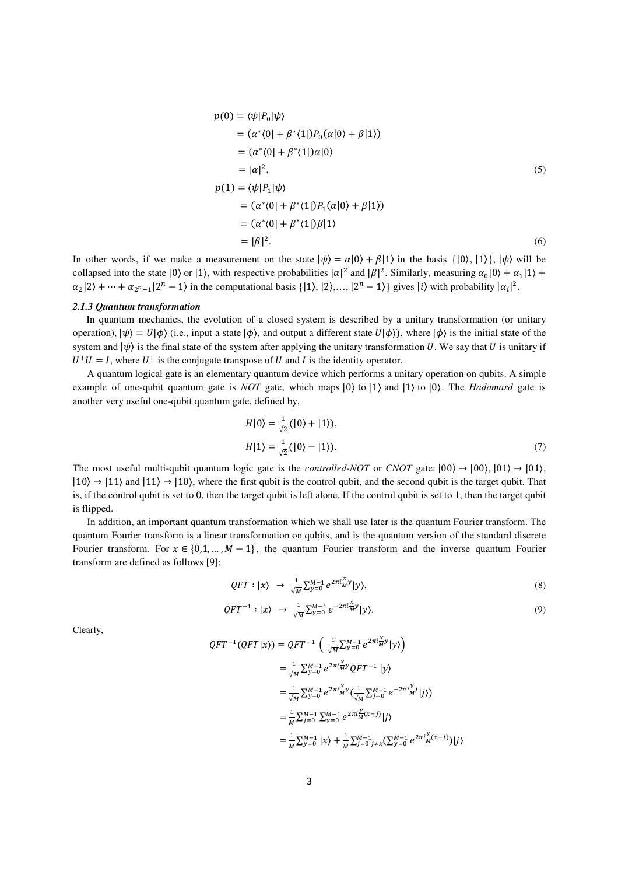$$
p(0) = \langle \psi | P_0 | \psi \rangle
$$
  
= (\alpha^\*(0) + \beta^\*(1))P\_0(\alpha|0) + \beta|1\rangle)  
= (\alpha^\*(0) + \beta^\*(1))\alpha|0\rangle  
= |\alpha|^2,  
  

$$
p(1) = \langle \psi | P_1 | \psi \rangle
$$
  
= (\alpha^\*(0) + \beta^\*(1))P\_1(\alpha|0) + \beta|1\rangle)  
= (\alpha^\*(0) + \beta^\*(1))\beta|1\rangle  
= |\beta|^2. (6)

In other words, if we make a measurement on the state  $|\psi\rangle = \alpha|0\rangle + \beta|1\rangle$  in the basis  $\{|0\rangle, |1\rangle\}$ ,  $|\psi\rangle$  will be collapsed into the state  $|0\rangle$  or  $|1\rangle$ , with respective probabilities  $|\alpha|^2$  and  $|\beta|^2$ . Similarly, measuring  $\alpha_0|0\rangle + \alpha_1|1\rangle +$  $\alpha_2|2\rangle + \cdots + \alpha_{2^n-1}|2^n-1\rangle$  in the computational basis  $\{|1\rangle, |2\rangle, \ldots, |2^n-1\rangle\}$  gives  $|i\rangle$  with probability  $|\alpha_i|^2$ .

#### *2.1.3 Quantum transformation*

In quantum mechanics, the evolution of a closed system is described by a unitary transformation (or unitary operation),  $|\psi\rangle = U|\phi\rangle$  (i.e., input a state  $|\phi\rangle$ , and output a different state  $U|\phi\rangle$ ), where  $|\phi\rangle$  is the initial state of the system and  $|\psi\rangle$  is the final state of the system after applying the unitary transformation U. We say that U is unitary if  $U^+U = I$ , where  $U^+$  is the conjugate transpose of U and I is the identity operator.

A quantum logical gate is an elementary quantum device which performs a unitary operation on qubits. A simple example of one-qubit quantum gate is *NOT* gate, which maps  $|0\rangle$  to  $|1\rangle$  and  $|1\rangle$  to  $|0\rangle$ . The *Hadamard* gate is another very useful one-qubit quantum gate, defined by,

$$
H|0\rangle = \frac{1}{\sqrt{2}}(|0\rangle + |1\rangle),
$$
  
\n
$$
H|1\rangle = \frac{1}{\sqrt{2}}(|0\rangle - |1\rangle).
$$
 (7)

The most useful multi-qubit quantum logic gate is the *controlled-NOT* or *CNOT* gate:  $|00\rangle \rightarrow |00\rangle$ ,  $|01\rangle \rightarrow |01\rangle$ ,  $|10\rangle \rightarrow |11\rangle$  and  $|11\rangle \rightarrow |10\rangle$ , where the first qubit is the control qubit, and the second qubit is the target qubit. That is, if the control qubit is set to 0, then the target qubit is left alone. If the control qubit is set to 1, then the target qubit is flipped.

In addition, an important quantum transformation which we shall use later is the quantum Fourier transform. The quantum Fourier transform is a linear transformation on qubits, and is the quantum version of the standard discrete Fourier transform. For  $x \in \{0,1,\dots,M-1\}$ , the quantum Fourier transform and the inverse quantum Fourier transform are defined as follows [9]:

$$
QFT: |\chi\rangle \rightarrow \frac{1}{\sqrt{M}} \sum_{y=0}^{M-1} e^{2\pi i \frac{x}{M} y} |\mathbf{y}\rangle, \tag{8}
$$

$$
QFT^{-1}: |\chi\rangle \rightarrow \frac{1}{\sqrt{M}} \sum_{y=0}^{M-1} e^{-2\pi i \frac{x}{M} y} |\gamma\rangle. \tag{9}
$$

Clearly,

$$
QFT^{-1}(QFT|x)) = QFT^{-1} \left( \frac{1}{\sqrt{M}} \sum_{y=0}^{M-1} e^{2\pi i \frac{x}{M}y} |y\rangle \right)
$$
  
\n
$$
= \frac{1}{\sqrt{M}} \sum_{y=0}^{M-1} e^{2\pi i \frac{x}{M}y} QFT^{-1} |y\rangle
$$
  
\n
$$
= \frac{1}{\sqrt{M}} \sum_{y=0}^{M-1} e^{2\pi i \frac{x}{M}y} \left( \frac{1}{\sqrt{M}} \sum_{j=0}^{M-1} e^{-2\pi i \frac{y}{M}j} |j\rangle \right)
$$
  
\n
$$
= \frac{1}{M} \sum_{y=0}^{M-1} \sum_{y=0}^{M-1} e^{2\pi i \frac{y}{M}(x-j)} |j\rangle
$$
  
\n
$$
= \frac{1}{M} \sum_{y=0}^{M-1} |x\rangle + \frac{1}{M} \sum_{j=0}^{M-1} \sum_{j \neq x}^{M-1} \left( \sum_{y=0}^{M-1} e^{2\pi i \frac{y}{M}(x-j)} \right) |j\rangle
$$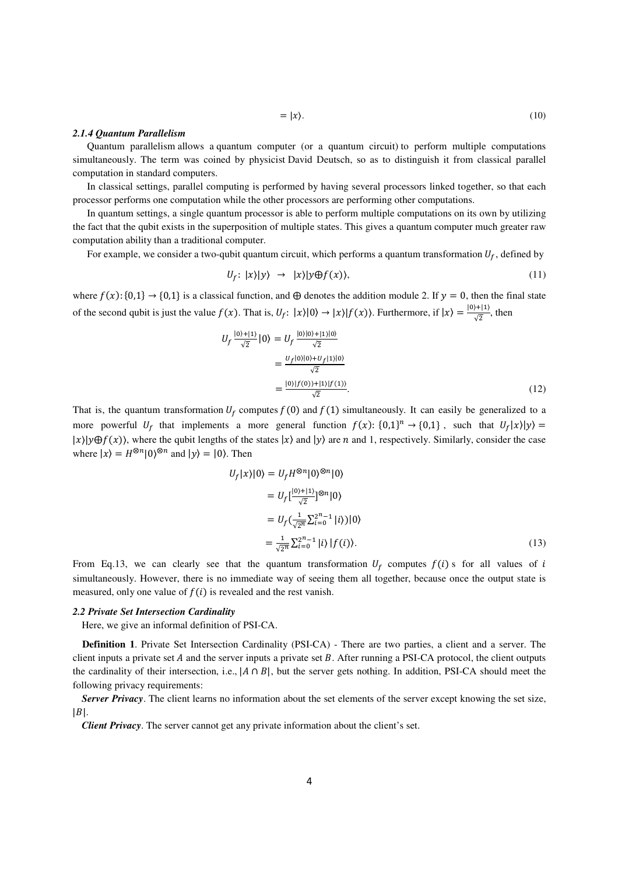#### *2.1.4 Quantum Parallelism*

Quantum parallelism allows a quantum computer (or a quantum circuit) to perform multiple computations simultaneously. The term was coined by physicist David Deutsch, so as to distinguish it from classical parallel computation in standard computers.

In classical settings, parallel computing is performed by having several processors linked together, so that each processor performs one computation while the other processors are performing other computations.

In quantum settings, a single quantum processor is able to perform multiple computations on its own by utilizing the fact that the qubit exists in the superposition of multiple states. This gives a quantum computer much greater raw computation ability than a traditional computer.

For example, we consider a two-qubit quantum circuit, which performs a quantum transformation  $U_f$ , defined by

$$
U_f: |x\rangle |y\rangle \rightarrow |x\rangle |y \oplus f(x)\rangle, \tag{11}
$$

where  $f(x):$  {0,1}  $\rightarrow$  {0,1} is a classical function, and  $\oplus$  denotes the addition module 2. If  $y = 0$ , then the final state of the second qubit is just the value  $f(x)$ . That is,  $U_f: |x\rangle |0\rangle \rightarrow |x\rangle |f(x)\rangle$ . Furthermore, if  $|x\rangle = \frac{|0\rangle + |1\rangle}{\sqrt{2}}$  $\frac{\sqrt{7}+1}{\sqrt{2}}$ , then

$$
U_f \frac{|0\rangle + |1\rangle}{\sqrt{2}} |0\rangle = U_f \frac{|0\rangle|0\rangle + |1\rangle|0\rangle}{\sqrt{2}}
$$

$$
= \frac{U_f|0\rangle|0\rangle + U_f|1\rangle|0\rangle}{\sqrt{2}}
$$

$$
= \frac{|0\rangle|f(0)\rangle + |1\rangle|f(1)\rangle}{\sqrt{2}}.
$$
(12)

That is, the quantum transformation  $U_f$  computes  $f(0)$  and  $f(1)$  simultaneously. It can easily be generalized to a more powerful  $U_f$  that implements a more general function  $f(x)$ :  $\{0,1\}^n \rightarrow \{0,1\}$ , such that  $U_f(x)|y\rangle =$  $|x\rangle|y\oplus f(x)$ , where the qubit lengths of the states  $|x\rangle$  and  $|y\rangle$  are *n* and 1, respectively. Similarly, consider the case where  $|x\rangle = H^{\otimes n}|0\rangle^{\otimes n}$  and  $|y\rangle = |0\rangle$ . Then

$$
U_f|x\rangle|0\rangle = U_f H^{\otimes n}|0\rangle^{\otimes n}|0\rangle
$$
  
=  $U_f\left[\frac{|0\rangle+|1\rangle}{\sqrt{2}}\right]^{\otimes n}|0\rangle$   
=  $U_f\left(\frac{1}{\sqrt{2^n}}\sum_{i=0}^{2^n-1}|i\rangle\right)|0\rangle$   
=  $\frac{1}{\sqrt{2^n}}\sum_{i=0}^{2^n-1}|i\rangle|f(i)\rangle.$  (13)

From Eq.13, we can clearly see that the quantum transformation  $U_f$  computes  $f(i)$  s for all values of i simultaneously. However, there is no immediate way of seeing them all together, because once the output state is measured, only one value of  $f(i)$  is revealed and the rest vanish.

#### *2.2 Private Set Intersection Cardinality*

Here, we give an informal definition of PSI-CA.

**Definition 1**. Private Set Intersection Cardinality (PSI-CA) - There are two parties, a client and a server. The client inputs a private set  $A$  and the server inputs a private set  $B$ . After running a PSI-CA protocol, the client outputs the cardinality of their intersection, i.e.,  $|A \cap B|$ , but the server gets nothing. In addition, PSI-CA should meet the following privacy requirements:

*Server Privacy*. The client learns no information about the set elements of the server except knowing the set size,  $|B|$ .

*Client Privacy*. The server cannot get any private information about the client's set.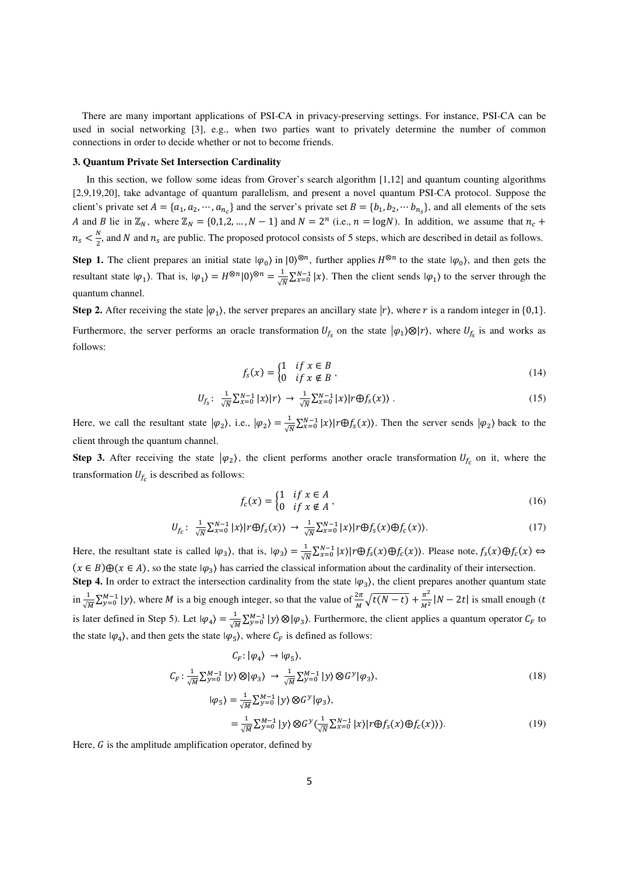There are many important applications of PSI-CA in privacy-preserving settings. For instance, PSI-CA can be used in social networking [3], e.g., when two parties want to privately determine the number of common connections in order to decide whether or not to become friends.

#### **3. Quantum Private Set Intersection Cardinality**

In this section, we follow some ideas from Grover's search algorithm [1,12] and quantum counting algorithms [2,9,19,20], take advantage of quantum parallelism, and present a novel quantum PSI-CA protocol. Suppose the client's private set  $A = \{a_1, a_2, \dots, a_{n_c}\}\$  and the server's private set  $B = \{b_1, b_2, \dots b_{n_s}\}\$ , and all elements of the sets A and B lie in  $\mathbb{Z}_N$ , where  $\mathbb{Z}_N = \{0, 1, 2, ..., N - 1\}$  and  $N = 2^n$  (i.e.,  $n = \log N$ ). In addition, we assume that  $n_c +$  $n_{s} < \frac{N}{2}$  $\frac{N}{2}$ , and N and  $n_s$  are public. The proposed protocol consists of 5 steps, which are described in detail as follows.

**Step 1.** The client prepares an initial state  $|\varphi_0\rangle$  in  $|0\rangle^{\otimes n}$ , further applies  $H^{\otimes n}$  to the state  $|\varphi_0\rangle$ , and then gets the resultant state  $|\varphi_1\rangle$ . That is,  $|\varphi_1\rangle = H^{\otimes n} |0\rangle^{\otimes n} = \frac{1}{\sqrt{n}}$  $\frac{1}{\sqrt{N}} \sum_{x=0}^{N-1} |x\rangle$ . Then the client sends  $|\varphi_1\rangle$  to the server through the quantum channel.

**Step 2.** After receiving the state  $|\varphi_1\rangle$ , the server prepares an ancillary state  $|r\rangle$ , where r is a random integer in {0,1}. Furthermore, the server performs an oracle transformation  $U_{f_s}$  on the state  $|\varphi_1\rangle \otimes |r\rangle$ , where  $U_{f_s}$  is and works as follows:

$$
f_s(x) = \begin{cases} 1 & \text{if } x \in B \\ 0 & \text{if } x \notin B \end{cases} \tag{14}
$$

$$
U_{f_s}: \frac{1}{\sqrt{N}} \sum_{x=0}^{N-1} |x\rangle |r\rangle \rightarrow \frac{1}{\sqrt{N}} \sum_{x=0}^{N-1} |x\rangle |r \bigoplus f_s(x)\rangle . \tag{15}
$$

Here, we call the resultant state  $|\varphi_2\rangle$ , i.e.,  $|\varphi_2\rangle = \frac{1}{\sqrt{N}} \sum_{x=0}^{N-1} |x\rangle |r \oplus f_s(x)\rangle$ . Then the server sends  $|\varphi_2\rangle$  back to the client through the quantum channel.

**Step 3.** After receiving the state  $|\varphi_2\rangle$ , the client performs another oracle transformation  $U_{f_c}$  on it, where the transformation  $U_{f_c}$  is described as follows:

$$
f_c(x) = \begin{cases} 1 & \text{if } x \in A \\ 0 & \text{if } x \notin A \end{cases} \tag{16}
$$

$$
U_{f_c}: \frac{1}{\sqrt{N}} \sum_{x=0}^{N-1} |x\rangle |r \oplus f_s(x)\rangle \rightarrow \frac{1}{\sqrt{N}} \sum_{x=0}^{N-1} |x\rangle |r \oplus f_s(x) \oplus f_c(x)\rangle. \tag{17}
$$

Here, the resultant state is called  $|\varphi_3\rangle$ , that is,  $|\varphi_3\rangle = \frac{1}{\sqrt{N}} \sum_{x=0}^{N-1} |x\rangle |r \oplus f_s(x) \oplus f_c(x)$ . Please note,  $f_s(x) \oplus f_c(x) \Leftrightarrow$  $(x \in B) \oplus (x \in A)$ , so the state  $|\varphi_3\rangle$  has carried the classical information about the cardinality of their intersection.

**Step 4.** In order to extract the intersection cardinality from the state  $|\varphi_3\rangle$ , the client prepares another quantum state in  $\frac{1}{\sqrt{M}}\sum_{y=0}^{M-1} |y\rangle$ , where *M* is a big enough integer, so that the value of  $\frac{2\pi}{M}\sqrt{t(N-t)} + \frac{\pi^2}{M^2}$  $\frac{h}{M^2}$  |N – 2t| is small enough (t is later defined in Step 5). Let  $|\varphi_4\rangle = \frac{1}{\sqrt{M}} \sum_{y=0}^{M-1} |y\rangle \otimes |\varphi_3\rangle$ . Furthermore, the client applies a quantum operator  $C_F$  to the state  $|\varphi_4\rangle$ , and then gets the state  $|\varphi_5\rangle$ , where  $C_F$  is defined as follows:

$$
C_F: |\varphi_4\rangle \to |\varphi_5\rangle,
$$
  
\n
$$
C_F: \frac{1}{\sqrt{M}} \sum_{y=0}^{M-1} |y\rangle \otimes |\varphi_3\rangle \to \frac{1}{\sqrt{M}} \sum_{y=0}^{M-1} |y\rangle \otimes G^y |\varphi_3\rangle,
$$
  
\n
$$
|\varphi_5\rangle = \frac{1}{\sqrt{M}} \sum_{y=0}^{M-1} |y\rangle \otimes G^y |\varphi_3\rangle,
$$
  
\n
$$
= \frac{1}{\sqrt{M}} \sum_{y=0}^{M-1} |y\rangle \otimes G^y (\frac{1}{\sqrt{N}} \sum_{x=0}^{N-1} |x\rangle |r \oplus f_S(x) \oplus f_C(x))).
$$
\n(19)

Here,  $G$  is the amplitude amplification operator, defined by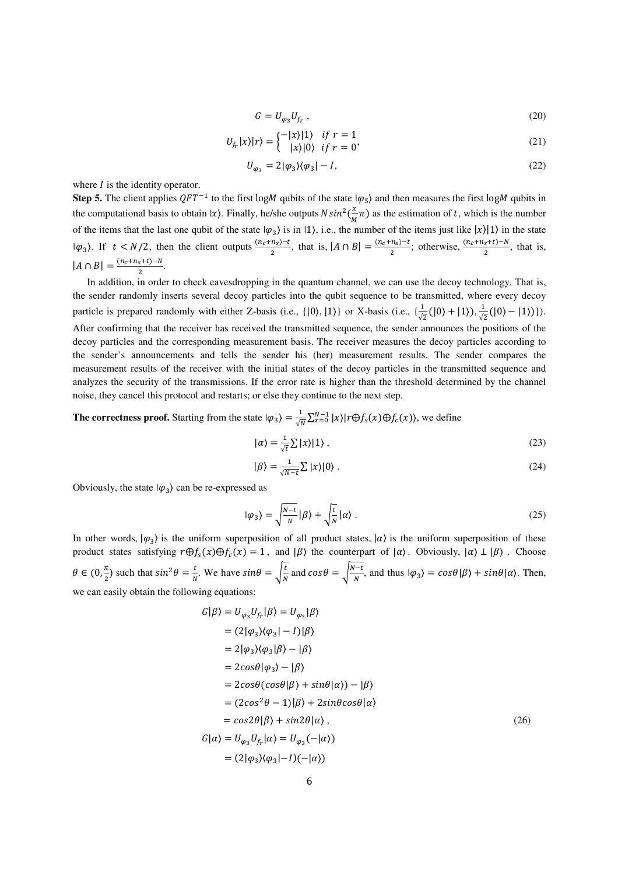$$
G = U_{\varphi_3} U_{f_r} \,,\tag{20}
$$

$$
U_{f_r}|x\rangle|r\rangle = \begin{cases} -|x\rangle|1\rangle & \text{if } r = 1\\ |x\rangle|0\rangle & \text{if } r = 0 \end{cases}
$$
\n
$$
(21)
$$

$$
U_{\varphi_3}=2|\varphi_3\rangle\langle\varphi_3|-I,\eqno(22)
$$

where  *is the identity operator.* 

**Step 5.** The client applies  $QFT^{-1}$  to the first logM qubits of the state  $|\varphi_5\rangle$  and then measures the first logM qubits in the computational basis to obtain  $|x\rangle$ . Finally, he/she outputs  $N\sin^2(\frac{x}{M})$  $\frac{x}{M}$   $\pi$ ) as the estimation of t, which is the number of the items that the last one qubit of the state  $|\varphi_3\rangle$  is in 11, i.e., the number of the items just like  $|x\rangle|1\rangle$  in the state  $|\varphi_3\rangle$ . If  $t < N/2$ , then the client outputs  $\frac{(n_c+n_s)-t}{2}$  $\frac{n_S - t}{2}$ , that is,  $|A \cap B| = \frac{(n_c + n_S) - t}{2}$  $\frac{n_S-t}{2}$ ; otherwise,  $\frac{(n_c+n_S+t)-N}{2}$ , that is,  $|A \cap B| = \frac{(n_c + n_s + t) - N}{2}$  $\frac{s^{T}t^{j-N}}{2}.$ 

In addition, in order to check eavesdropping in the quantum channel, we can use the decoy technology. That is, the sender randomly inserts several decoy particles into the qubit sequence to be transmitted, where every decoy particle is prepared randomly with either Z-basis (i.e.,  $\{ |0\rangle, |1\rangle \}$  or X-basis (i.e.,  $\{\frac{1}{\sqrt{2}}(|0\rangle + |1\rangle), \frac{1}{\sqrt{2}}\}$  $\frac{1}{\sqrt{2}}(|0\rangle - |1\rangle)$ . After confirming that the receiver has received the transmitted sequence, the sender announces the positions of the decoy particles and the corresponding measurement basis. The receiver measures the decoy particles according to the sender's announcements and tells the sender his (her) measurement results. The sender compares the measurement results of the receiver with the initial states of the decoy particles in the transmitted sequence and analyzes the security of the transmissions. If the error rate is higher than the threshold determined by the channel noise, they cancel this protocol and restarts; or else they continue to the next step.

**The correctness proof.** Starting from the state  $|\varphi_3\rangle = \frac{1}{\sqrt{N}} \sum_{x=0}^{N-1} |x\rangle |r \oplus f_s(x) \oplus f_c(x)$ , we define

$$
|\alpha\rangle = \frac{1}{\sqrt{t}} \sum |x\rangle |1\rangle \,, \tag{23}
$$

$$
|\beta\rangle = \frac{1}{\sqrt{N-t}} \sum |\chi\rangle|0\rangle. \tag{24}
$$

Obviously, the state  $|\varphi_3\rangle$  can be re-expressed as

$$
|\varphi_3\rangle = \sqrt{\frac{N-t}{N}} |\beta\rangle + \sqrt{\frac{t}{N}} |\alpha\rangle.
$$
 (25)

In other words,  $|\varphi_3\rangle$  is the uniform superposition of all product states,  $|\alpha\rangle$  is the uniform superposition of these product states satisfying  $r \bigoplus f_s(x) \bigoplus f_c(x) = 1$ , and  $|\beta\rangle$  the counterpart of  $|\alpha\rangle$ . Obviously,  $|\alpha\rangle \perp |\beta\rangle$ . Choose  $\theta \in (0, \frac{\pi}{2})$  such that  $sin^2 \theta = \frac{t}{N}$ . We have  $sin \theta = \sqrt{\frac{t}{N}}$  and  $cos \theta = \sqrt{\frac{N-t}{N}}$  $\frac{\partial^2 L}{\partial N}$ , and thus  $|\varphi_3\rangle = cos\theta |\beta\rangle + sin\theta |\alpha\rangle$ . Then, we can easily obtain the following equations:

$$
G|\beta\rangle = U_{\varphi_3}U_{f_r}|\beta\rangle = U_{\varphi_3}|\beta\rangle
$$
  
\n
$$
= (2|\varphi_3\rangle\langle\varphi_3| - 1)|\beta\rangle
$$
  
\n
$$
= 2|\varphi_3\rangle\langle\varphi_3|\beta\rangle - |\beta\rangle
$$
  
\n
$$
= 2cos\theta|\varphi_3\rangle - |\beta\rangle
$$
  
\n
$$
= 2cos\theta(cos\theta|\beta\rangle + sin\theta|\alpha\rangle) - |\beta\rangle
$$
  
\n
$$
= (2cos^2\theta - 1)|\beta\rangle + 2sin\theta cos\theta|\alpha\rangle
$$
  
\n
$$
= cos2\theta|\beta\rangle + sin2\theta|\alpha\rangle,
$$
  
\n
$$
G|\alpha\rangle = U_{\varphi_3}U_{f_r}|\alpha\rangle = U_{\varphi_3}(-|\alpha\rangle)
$$
  
\n
$$
= (2|\varphi_3\rangle\langle\varphi_3| - I)(-|\alpha\rangle)
$$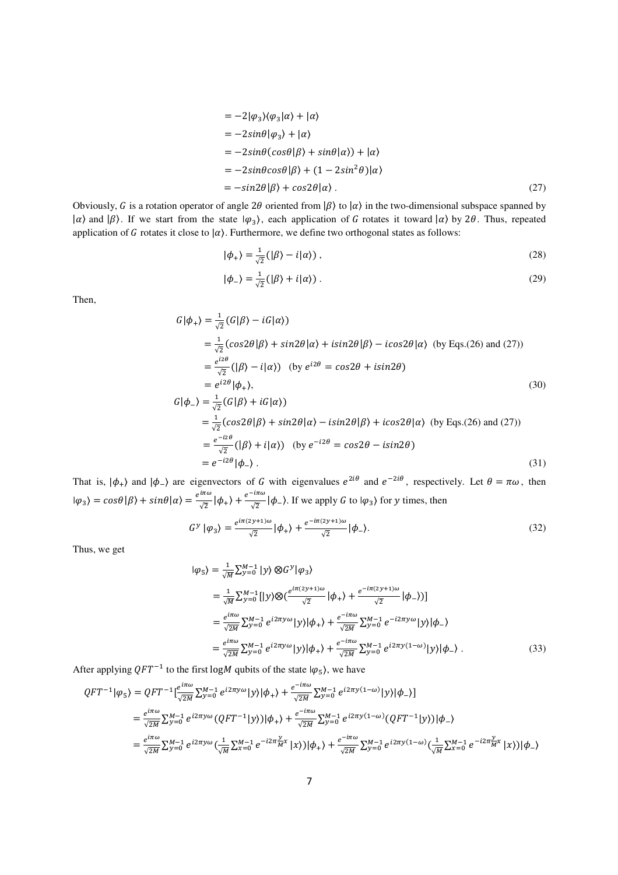$$
= -2|\varphi_3\rangle\langle\varphi_3|\alpha\rangle + |\alpha\rangle
$$
  
\n
$$
= -2\sin\theta|\varphi_3\rangle + |\alpha\rangle
$$
  
\n
$$
= -2\sin\theta(\cos\theta|\beta\rangle + \sin\theta|\alpha\rangle) + |\alpha\rangle
$$
  
\n
$$
= -2\sin\theta\cos\theta|\beta\rangle + (1 - 2\sin^2\theta)|\alpha\rangle
$$
  
\n
$$
= -\sin2\theta|\beta\rangle + \cos2\theta|\alpha\rangle.
$$
 (27)

Obviously, G is a rotation operator of angle 2 $\theta$  oriented from  $|\beta\rangle$  to  $|\alpha\rangle$  in the two-dimensional subspace spanned by  $|\alpha\rangle$  and  $|\beta\rangle$ . If we start from the state  $|\varphi_3\rangle$ , each application of G rotates it toward  $|\alpha\rangle$  by 2 $\theta$ . Thus, repeated application of G rotates it close to  $|\alpha\rangle$ . Furthermore, we define two orthogonal states as follows:

$$
|\phi_{+}\rangle = \frac{1}{\sqrt{2}} (|\beta\rangle - i|\alpha\rangle) , \qquad (28)
$$

$$
|\phi_{-}\rangle = \frac{1}{\sqrt{2}} (|\beta\rangle + i|\alpha\rangle) \tag{29}
$$

Then,

$$
G|\phi_{+}\rangle = \frac{1}{\sqrt{2}}(G|\beta\rangle - iG|\alpha\rangle)
$$
  
\n
$$
= \frac{1}{\sqrt{2}}(cos2\theta|\beta\rangle + sin2\theta|\alpha\rangle + isin2\theta|\beta\rangle - icos2\theta|\alpha\rangle \text{ (by Eqs.(26) and (27))}
$$
  
\n
$$
= \frac{e^{iz\theta}}{\sqrt{2}}(|\beta\rangle - i|\alpha\rangle) \text{ (by } e^{i2\theta} = cos2\theta + isin2\theta)
$$
  
\n
$$
= e^{i2\theta}|\phi_{+}\rangle,
$$
  
\n
$$
G|\phi_{-}\rangle = \frac{1}{\sqrt{2}}(G|\beta\rangle + iG|\alpha\rangle)
$$
  
\n
$$
= \frac{1}{\sqrt{2}}(cos2\theta|\beta\rangle + sin2\theta|\alpha\rangle - isin2\theta|\beta\rangle + icos2\theta|\alpha\rangle \text{ (by Eqs.(26) and (27))}
$$
  
\n
$$
= \frac{e^{-iz\theta}}{\sqrt{2}}(|\beta\rangle + i|\alpha\rangle) \text{ (by } e^{-i2\theta} = cos2\theta - isin2\theta)
$$
  
\n
$$
= e^{-i2\theta}|\phi_{-}\rangle.
$$
  
\n(31)

That is,  $|\phi_+\rangle$  and  $|\phi_-\rangle$  are eigenvectors of G with eigenvalues  $e^{2i\theta}$  and  $e^{-2i\theta}$ , respectively. Let  $\theta = \pi\omega$ , then  $|\varphi_3\rangle = cos\theta |\beta\rangle + sin\theta |\alpha\rangle = \frac{e^{i\pi\omega}}{\sqrt{2}}$  $rac{i\pi\omega}{\sqrt{2}}|\phi_{+}\rangle + \frac{e^{-i\pi\omega}}{\sqrt{2}}$  $\sqrt{2}$   $|\phi_{-}\rangle$ *.* If we apply *G* to *|* $\varphi_3$ *}* for *y* times, then

$$
G^{\gamma}|\varphi_3\rangle = \frac{e^{i\pi(2\gamma+1)\omega}}{\sqrt{2}}|\varphi_+\rangle + \frac{e^{-i\pi(2\gamma+1)\omega}}{\sqrt{2}}|\varphi_-\rangle.
$$
 (32)

Thus, we get

$$
|\varphi_{5}\rangle = \frac{1}{\sqrt{M}} \sum_{y=0}^{M-1} |y\rangle \otimes G^{y} |\varphi_{3}\rangle
$$
  
\n
$$
= \frac{1}{\sqrt{M}} \sum_{y=0}^{M-1} [|y\rangle \otimes (e^{i\pi(2y+1)\omega}) |\varphi_{+}\rangle + \frac{e^{-i\pi(2y+1)\omega}}{\sqrt{2}} |\varphi_{-}\rangle)]
$$
  
\n
$$
= \frac{e^{i\pi\omega}}{\sqrt{2M}} \sum_{y=0}^{M-1} e^{i2\pi y\omega} |y\rangle |\varphi_{+}\rangle + \frac{e^{-i\pi\omega}}{\sqrt{2M}} \sum_{y=0}^{M-1} e^{-i2\pi y\omega} |y\rangle |\varphi_{-}\rangle
$$
  
\n
$$
= \frac{e^{i\pi\omega}}{\sqrt{2M}} \sum_{y=0}^{M-1} e^{i2\pi y\omega} |y\rangle |\varphi_{+}\rangle + \frac{e^{-i\pi\omega}}{\sqrt{2M}} \sum_{y=0}^{M-1} e^{i2\pi y(1-\omega)} |y\rangle |\varphi_{-}\rangle . \tag{33}
$$

After applying  $QFT^{-1}$  to the first logM qubits of the state  $|\varphi_5\rangle$ , we have

$$
QFT^{-1}|\varphi_{5}\rangle = QFT^{-1}\left[\frac{e^{i\pi\omega}}{\sqrt{2M}}\sum_{y=0}^{M-1} e^{i2\pi y\omega}|y\rangle|\phi_{+}\rangle + \frac{e^{-i\pi\omega}}{\sqrt{2M}}\sum_{y=0}^{M-1} e^{i2\pi y(1-\omega)}|y\rangle|\phi_{-}\rangle\right]
$$
  
\n
$$
= \frac{e^{i\pi\omega}}{\sqrt{2M}}\sum_{y=0}^{M-1} e^{i2\pi y\omega} (QFT^{-1}|y\rangle)|\phi_{+}\rangle + \frac{e^{-i\pi\omega}}{\sqrt{2M}}\sum_{y=0}^{M-1} e^{i2\pi y(1-\omega)} (QFT^{-1}|y\rangle)|\phi_{-}\rangle
$$
  
\n
$$
= \frac{e^{i\pi\omega}}{\sqrt{2M}}\sum_{y=0}^{M-1} e^{i2\pi y\omega} (\frac{1}{\sqrt{M}}\sum_{x=0}^{M-1} e^{-i2\pi\frac{y}{M}x}|x\rangle)|\phi_{+}\rangle + \frac{e^{-i\pi\omega}}{\sqrt{2M}}\sum_{y=0}^{M-1} e^{i2\pi y(1-\omega)} (\frac{1}{\sqrt{M}}\sum_{x=0}^{M-1} e^{-i2\pi\frac{y}{M}x}|x\rangle)|\phi_{-}\rangle
$$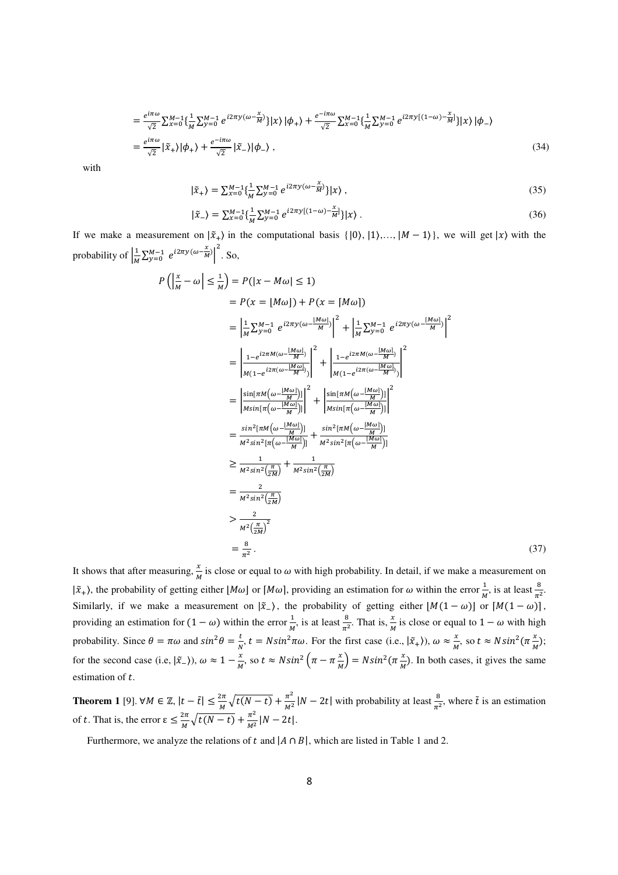$$
= \frac{e^{i\pi\omega}}{\sqrt{2}} \sum_{x=0}^{M-1} \left\{ \frac{1}{M} \sum_{y=0}^{M-1} e^{i2\pi y (\omega - \frac{x}{M})} \right\} |x\rangle |\phi_{+}\rangle + \frac{e^{-i\pi\omega}}{\sqrt{2}} \sum_{x=0}^{M-1} \left\{ \frac{1}{M} \sum_{y=0}^{M-1} e^{i2\pi y [(1-\omega) - \frac{x}{M}]} \right\} |x\rangle |\phi_{-}\rangle
$$
  

$$
= \frac{e^{i\pi\omega}}{\sqrt{2}} |\tilde{x}_{+}\rangle |\phi_{+}\rangle + \frac{e^{-i\pi\omega}}{\sqrt{2}} |\tilde{x}_{-}\rangle |\phi_{-}\rangle , \qquad (34)
$$

with

$$
|\tilde{x}_{+}\rangle = \sum_{x=0}^{M-1} \{ \frac{1}{M} \sum_{y=0}^{M-1} e^{i2\pi y (\omega - \frac{x}{M})} \} |x\rangle , \qquad (35)
$$

$$
|\tilde{x}_{-}\rangle = \sum_{x=0}^{M-1} \left\{ \frac{1}{M} \sum_{y=0}^{M-1} e^{i2\pi y \left[ (1-\omega) - \frac{x}{M} \right]} \right\} |x\rangle \,. \tag{36}
$$

If we make a measurement on  $|\tilde{x}_+\rangle$  in the computational basis  $\{|0\rangle, |1\rangle, ..., |M-1\rangle\}$ , we will get  $|x\rangle$  with the probability of  $\frac{1}{M}$  $\frac{1}{M}\sum_{y=0}^{M-1} e^{i2\pi y (\omega - \frac{x}{M})}\bigg|^2$ . So,

$$
P\left(\left|\frac{x}{M} - \omega\right| \leq \frac{1}{M}\right) = P(|x - M\omega| \leq 1)
$$
  
\n
$$
= P(x = [M\omega]) + P(x = [M\omega])
$$
  
\n
$$
= \left|\frac{1}{M} \sum_{y=0}^{M-1} e^{i2\pi y (\omega - \frac{|M\omega|}{M})}\right|^2 + \left|\frac{1}{M} \sum_{y=0}^{M-1} e^{i2\pi y (\omega - \frac{|M\omega|}{M})}\right|^2
$$
  
\n
$$
= \left|\frac{1 - e^{i2\pi M(\omega - \frac{|M\omega|}{M})}}{M(1 - e^{i2\pi(\omega - \frac{|M\omega|}{M})})}\right|^2 + \left|\frac{1 - e^{i2\pi M(\omega - \frac{|M\omega|}{M})}}{M(1 - e^{i2\pi(\omega - \frac{|M\omega|}{M})})}\right|^2
$$
  
\n
$$
= \left|\frac{\sin[\pi M(\omega - \frac{|M\omega|}{M})]}{\sin[\pi(\omega - \frac{|M\omega|}{M})]}\right|^2 + \left|\frac{\sin[\pi M(\omega - \frac{|M\omega|}{M})]}{\sin^2[\pi(\omega - \frac{|M\omega|}{M})]}\right|^2
$$
  
\n
$$
= \frac{\sin^2[\pi M(\omega - \frac{|M\omega|}{M})]}{\pi^2 \sin^2[\pi(\omega - \frac{|M\omega|}{M})]} + \frac{\sin^2[\pi M(\omega - \frac{|M\omega|}{M})]}{\pi^2 \sin^2[\pi(\omega - \frac{|M\omega|}{M})]}
$$
  
\n
$$
\geq \frac{1}{M^2 \sin^2(\frac{\pi}{2M})} + \frac{1}{M^2 \sin^2(\frac{\pi}{2M})}
$$
  
\n
$$
= \frac{2}{M^2 \sin^2(\frac{\pi}{2M})^2}
$$
  
\n
$$
= \frac{8}{\pi^2}.
$$
 (37)

It shows that after measuring,  $\frac{x}{M}$  is close or equal to  $\omega$  with high probability. In detail, if we make a measurement on  $|\tilde{x}_+|$ , the probability of getting either  $[M\omega]$  or  $[M\omega]$ , providing an estimation for  $\omega$  within the error  $\frac{1}{M}$ , is at least  $\frac{8}{\pi^2}$ . Similarly, if we make a measurement on  $|\tilde{x}_{-}\rangle$ , the probability of getting either  $|M(1 - \omega)|$  or  $|M(1 - \omega)|$ , providing an estimation for  $(1 - \omega)$  within the error  $\frac{1}{M}$ , is at least  $\frac{8}{\pi^2}$ . That is,  $\frac{x}{M}$  is close or equal to  $1 - \omega$  with high probability. Since  $\theta = \pi \omega$  and  $\sin^2 \theta = \frac{t}{N}$ ,  $t = N \sin^2 \pi \omega$ . For the first case (i.e.,  $|\tilde{x}_+ \rangle$ ),  $\omega \approx \frac{x}{M}$  $\frac{x}{M}$ , so  $t \approx N \sin^2(\pi \frac{x}{M});$ for the second case (i.e,  $|\tilde{x}_{-}\rangle$ ),  $\omega \approx 1 - \frac{x}{M}$ , so  $t \approx N\sin^2\left(\pi - \pi \frac{x}{M}\right) = N\sin^2\left(\pi \frac{x}{M}\right)$ . In both cases, it gives the same estimation of  $t$ .

**Theorem 1** [9]. ∀*M*  $\in \mathbb{Z}$ ,  $|t - \tilde{t}| \leq \frac{2\pi}{M}$  $\frac{2\pi}{M}\sqrt{t(N-t)} + \frac{\pi^2}{M^2}$  $\frac{\pi^2}{M^2}$  |N – 2t| with probability at least  $\frac{8}{\pi^2}$ , where  $\tilde{t}$  is an estimation of t. That is, the error  $\varepsilon \leq \frac{2\pi}{M} \sqrt{t(N-t)} + \frac{\pi^2}{M^2}$  $\frac{n}{M^2}$  |  $N - 2t$  |.

Furthermore, we analyze the relations of t and  $|A \cap B|$ , which are listed in Table 1 and 2.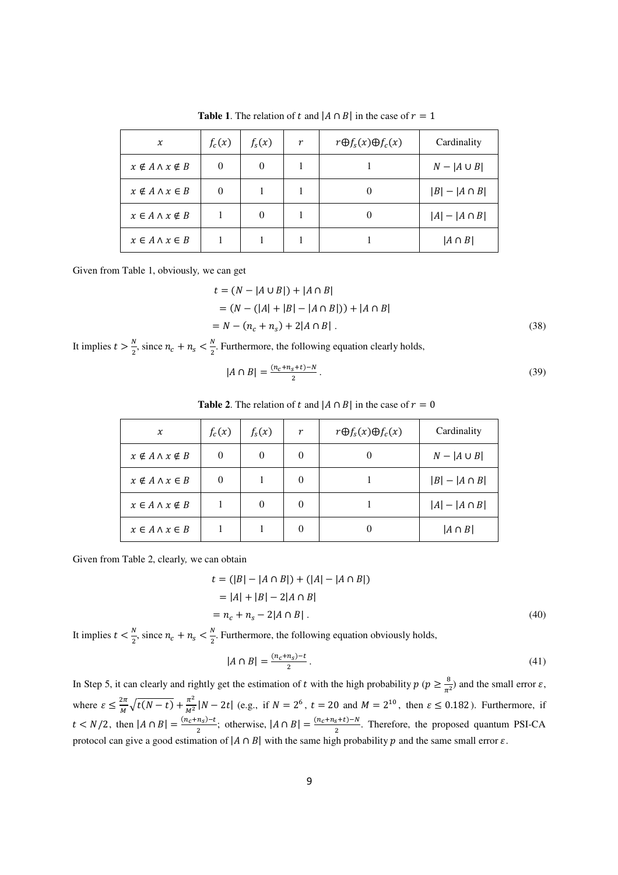| $\chi$                         | $f_c(x)$ | $f_{s}(x)$ | r | $r \bigoplus f_{s}(x) \bigoplus f_{c}(x)$ | Cardinality        |
|--------------------------------|----------|------------|---|-------------------------------------------|--------------------|
| $x \notin A \wedge x \notin B$ | 0        | $\theta$   |   |                                           | $N -  A \cup B $   |
| $x \notin A \wedge x \in B$    | $\Omega$ |            |   |                                           | $ B  -  A \cap B $ |
| $x \in A \wedge x \notin B$    |          | $\theta$   |   |                                           | $ A  -  A \cap B $ |
| $x \in A \wedge x \in B$       |          |            |   |                                           | $ A \cap B $       |

**Table 1**. The relation of t and  $|A \cap B|$  in the case of  $r = 1$ 

Given from Table 1, obviously*,* we can get

$$
t = (N - |A \cup B|) + |A \cap B|
$$
  
= (N - (|A| + |B| - |A \cap B|)) + |A \cap B|  
= N - (n<sub>c</sub> + n<sub>s</sub>) + 2|A \cap B|. (38)

It implies  $t > \frac{N}{2}$ , since  $n_c + n_s < \frac{N}{2}$  $\frac{N}{2}$ . Furthermore, the following equation clearly holds,

$$
|A \cap B| = \frac{(n_c + n_s + t) - N}{2} \,. \tag{39}
$$

# **Table 2.** The relation of t and  $|A \cap B|$  in the case of  $r = 0$

| $\boldsymbol{\chi}$            | $f_c(x)$ | $f_s(x)$ | $\boldsymbol{r}$ | $r \bigoplus f_{s}(x) \bigoplus f_{c}(x)$ | Cardinality        |
|--------------------------------|----------|----------|------------------|-------------------------------------------|--------------------|
| $x \notin A \wedge x \notin B$ | $\Omega$ | $\Omega$ |                  |                                           | $N -  A \cup B $   |
| $x \notin A \land x \in B$     | $\theta$ |          |                  |                                           | $ B  -  A \cap B $ |
| $x \in A \wedge x \notin B$    |          | $\Omega$ |                  |                                           | $ A  -  A \cap B $ |
| $x \in A \wedge x \in B$       |          |          |                  |                                           | $ A \cap B $       |

Given from Table 2, clearly*,* we can obtain

$$
t = (|B| - |A \cap B|) + (|A| - |A \cap B|)
$$
  
= |A| + |B| - 2|A \cap B|  
= n<sub>c</sub> + n<sub>s</sub> - 2|A \cap B|. (40)

It implies  $t < \frac{N}{2}$  $\frac{N}{2}$ , since  $n_c + n_s < \frac{N}{2}$  $\frac{N}{2}$ . Furthermore, the following equation obviously holds,

$$
|A \cap B| = \frac{(n_c + n_s) - t}{2} \,. \tag{41}
$$

In Step 5, it can clearly and rightly get the estimation of t with the high probability  $p (p \ge \frac{8}{\pi^2})$  and the small error  $\varepsilon$ , where  $\varepsilon \leq \frac{2\pi}{M} \sqrt{t(N-t)} + \frac{\pi^2}{M^2}$  $\frac{n}{M^2}|N-2t|$  (e.g., if  $N = 2^6$ ,  $t = 20$  and  $M = 2^{10}$ , then  $\varepsilon \le 0.182$ ). Furthermore, if  $t < N/2$ , then  $|A \cap B| = \frac{(n_c + n_s) - t}{2}$  $\frac{n_S-t}{2}$ ; otherwise,  $|A \cap B| = \frac{(n_c+n_S+t)-N}{2}$  $\frac{S+(-1)}{2}$ . Therefore, the proposed quantum PSI-CA protocol can give a good estimation of  $|A \cap B|$  with the same high probability p and the same small error  $\varepsilon$ .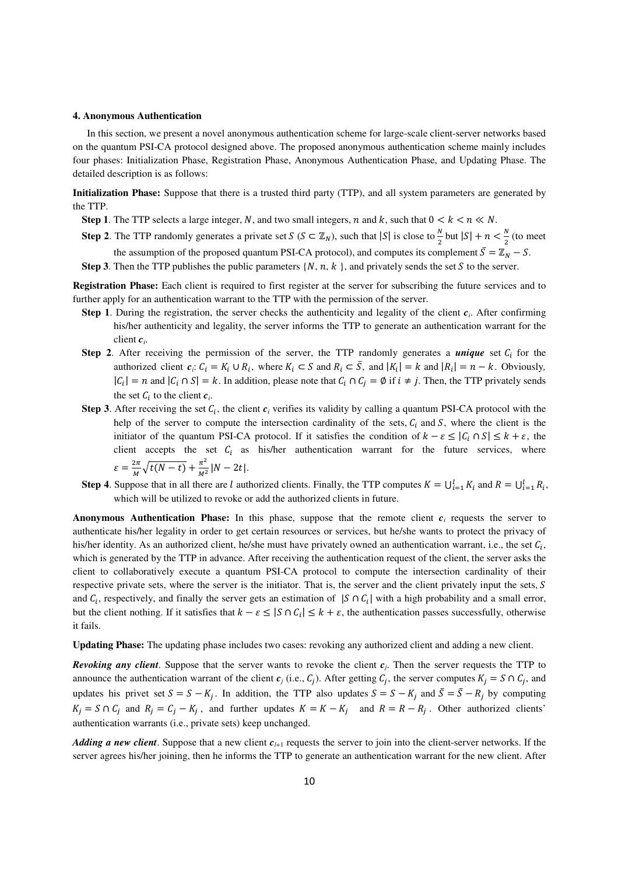#### **4. Anonymous Authentication**

In this section, we present a novel anonymous authentication scheme for large-scale client-server networks based on the quantum PSI-CA protocol designed above. The proposed anonymous authentication scheme mainly includes four phases: Initialization Phase, Registration Phase, Anonymous Authentication Phase, and Updating Phase. The detailed description is as follows:

**Initialization Phase:** Suppose that there is a trusted third party (TTP), and all system parameters are generated by the TTP.

- **Step 1**. The TTP selects a large integer, N, and two small integers, n and k, such that  $0 < k < n \ll N$ .
- **Step 2**. The TTP randomly generates a private set  $S$  ( $S \subset \mathbb{Z}_N$ ), such that  $|S|$  is close to  $\frac{N}{2}$  but  $|S| + n < \frac{N}{2}$  (to meet the assumption of the proposed quantum PSI-CA protocol), and computes its complement  $\bar{S} = \mathbb{Z}_N - S$ .

**Step 3**. Then the TTP publishes the public parameters  $\{N, n, k\}$ , and privately sends the set  $S$  to the server.

**Registration Phase:** Each client is required to first register at the server for subscribing the future services and to further apply for an authentication warrant to the TTP with the permission of the server.

- **Step 1**. During the registration, the server checks the authenticity and legality of the client  $c_i$ . After confirming his/her authenticity and legality, the server informs the TTP to generate an authentication warrant for the client *c<sup>i</sup>* .
- **Step 2.** After receiving the permission of the server, the TTP randomly generates a *unique* set  $C_i$  for the authorized client  $c_i$ :  $C_i = K_i \cup R_i$ , where  $K_i \subset S$  and  $R_i \subset \overline{S}$ , and  $|K_i| = k$  and  $|R_i| = n - k$ . Obviously,  $|C_i| = n$  and  $|C_i \cap S| = k$ . In addition, please note that  $C_i \cap C_j = \emptyset$  if  $i \neq j$ . Then, the TTP privately sends the set  $C_i$  to the client  $c_i$ .
- **Step 3**. After receiving the set  $C_i$ , the client  $c_i$  verifies its validity by calling a quantum PSI-CA protocol with the help of the server to compute the intersection cardinality of the sets,  $C_i$  and  $S$ , where the client is the initiator of the quantum PSI-CA protocol. If it satisfies the condition of  $k - \varepsilon \leq |C_i \cap S| \leq k + \varepsilon$ , the client accepts the set  $C_i$  as his/her authentication warrant for the future services, where  $\varepsilon = \frac{2\pi}{M}$  $\frac{2\pi}{M}\sqrt{t(N-t)} + \frac{\pi^2}{M^2}$  $\frac{n}{M^2}$  |  $N - 2t$  |.
- **Step 4**. Suppose that in all there are l authorized clients. Finally, the TTP computes  $K = \bigcup_{i=1}^{l} K_i$  and  $R = \bigcup_{i=1}^{l} R_i$ , which will be utilized to revoke or add the authorized clients in future.

**Anonymous Authentication Phase:** In this phase, suppose that the remote client *c<sup>i</sup>* requests the server to authenticate his/her legality in order to get certain resources or services, but he/she wants to protect the privacy of his/her identity. As an authorized client, he/she must have privately owned an authentication warrant, i.e., the set  $C_i$ , which is generated by the TTP in advance. After receiving the authentication request of the client, the server asks the client to collaboratively execute a quantum PSI-CA protocol to compute the intersection cardinality of their respective private sets, where the server is the initiator. That is, the server and the client privately input the sets,  $S$ and  $C_i$ , respectively, and finally the server gets an estimation of  $|S \cap C_i|$  with a high probability and a small error, but the client nothing. If it satisfies that  $k - \varepsilon \leq |S \cap C_i| \leq k + \varepsilon$ , the authentication passes successfully, otherwise it fails.

**Updating Phase:** The updating phase includes two cases: revoking any authorized client and adding a new client.

*Revoking any client*. Suppose that the server wants to revoke the client *c<sup>j</sup>* . Then the server requests the TTP to announce the authentication warrant of the client  $c_j$  (i.e.,  $C_j$ ). After getting  $C_j$ , the server computes  $K_j = S \cap C_j$ , and updates his privet set  $S = S - K_j$ . In addition, the TTP also updates  $S = S - K_j$  and  $\overline{S} = \overline{S} - R_j$  by computing  $K_j = S \cap C_j$  and  $R_j = C_j - K_j$ , and further updates  $K = K - K_j$  and  $R = R - R_j$ . Other authorized clients' authentication warrants (i.e., private sets) keep unchanged.

*Adding a new client*. Suppose that a new client  $c_{l+1}$  requests the server to join into the client-server networks. If the server agrees his/her joining, then he informs the TTP to generate an authentication warrant for the new client. After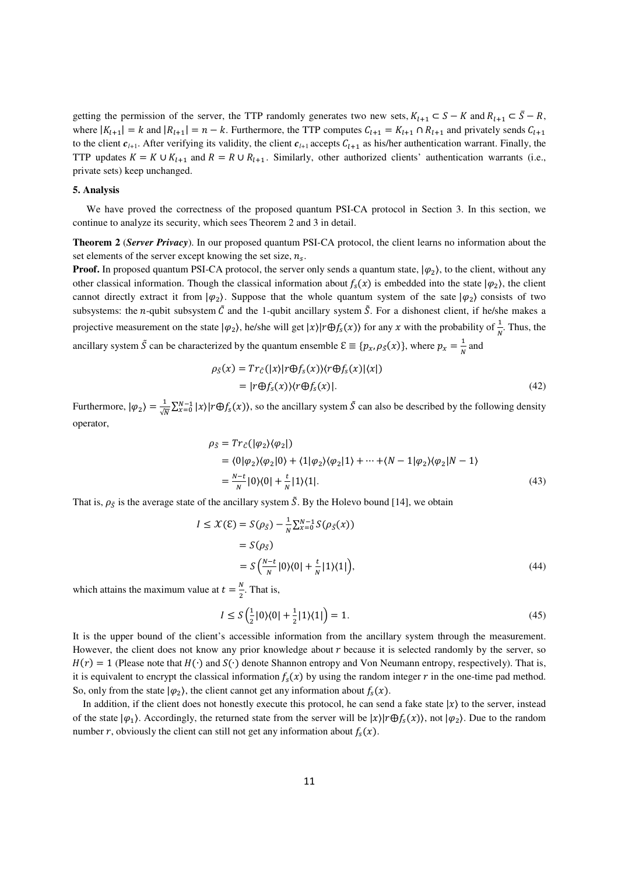getting the permission of the server, the TTP randomly generates two new sets,  $K_{l+1} \subset S - K$  and  $R_{l+1} \subset \overline{S} - R$ , where  $|K_{l+1}| = k$  and  $|R_{l+1}| = n - k$ . Furthermore, the TTP computes  $C_{l+1} = K_{l+1} \cap R_{l+1}$  and privately sends  $C_{l+1}$ to the client  $c_{l+1}$ . After verifying its validity, the client  $c_{l+1}$  accepts  $C_{l+1}$  as his/her authentication warrant. Finally, the TTP updates  $K = K \cup K_{l+1}$  and  $R = R \cup R_{l+1}$ . Similarly, other authorized clients' authentication warrants (i.e., private sets) keep unchanged.

#### **5. Analysis**

We have proved the correctness of the proposed quantum PSI-CA protocol in Section 3. In this section, we continue to analyze its security, which sees Theorem 2 and 3 in detail.

**Theorem 2** (*Server Privacy*). In our proposed quantum PSI-CA protocol, the client learns no information about the set elements of the server except knowing the set size,  $n_s$ .

**Proof.** In proposed quantum PSI-CA protocol, the server only sends a quantum state,  $|\varphi_2\rangle$ , to the client, without any other classical information. Though the classical information about  $f_s(x)$  is embedded into the state  $|\varphi_2\rangle$ , the client cannot directly extract it from  $|\varphi_2\rangle$ . Suppose that the whole quantum system of the sate  $|\varphi_2\rangle$  consists of two subsystems: the *n*-qubit subsystem  $\tilde{C}$  and the 1-qubit ancillary system  $\tilde{S}$ . For a dishonest client, if he/she makes a projective measurement on the state  $|\varphi_2\rangle$ , he/she will get  $|x\rangle |r \oplus f_s(x)\rangle$  for any  $x$  with the probability of  $\frac{1}{N}$ . Thus, the ancillary system  $\tilde{S}$  can be characterized by the quantum ensemble  $\mathcal{E} \equiv \{p_x, \rho_S(x)\}\,$ , where  $p_x = \frac{1}{N}$  $\frac{1}{N}$  and

$$
\rho_{\tilde{S}}(x) = Tr_{\tilde{C}}(|x\rangle|r \oplus f_{S}(x)\rangle\langle r \oplus f_{S}(x)|\langle x|)
$$
  
=  $|r \oplus f_{S}(x)\rangle\langle r \oplus f_{S}(x)|.$  (42)

Furthermore,  $|\varphi_2\rangle = \frac{1}{\sqrt{N}} \sum_{x=0}^{N-1} |x\rangle |r \oplus f_s(x)\rangle$ , so the ancillary system  $\tilde{S}$  can also be described by the following density operator,

$$
\rho_{\tilde{S}} = Tr_{\tilde{C}}(|\varphi_2\rangle\langle\varphi_2|)
$$
  
=  $\langle 0|\varphi_2\rangle\langle\varphi_2|0\rangle + \langle 1|\varphi_2\rangle\langle\varphi_2|1\rangle + \dots + \langle N-1|\varphi_2\rangle\langle\varphi_2|N-1\rangle$   
=  $\frac{N-t}{N}|0\rangle\langle 0| + \frac{t}{N}|1\rangle\langle 1|.$  (43)

That is,  $\rho_{\tilde{S}}$  is the average state of the ancillary system  $\tilde{S}$ . By the Holevo bound [14], we obtain

$$
I \leq \mathcal{X}(\mathcal{E}) = S(\rho_{\tilde{S}}) - \frac{1}{N} \sum_{x=0}^{N-1} S(\rho_{\tilde{S}}(x))
$$
  
=  $S(\rho_{\tilde{S}})$   
=  $S(\frac{N-t}{N} |0\rangle\langle 0| + \frac{t}{N} |1\rangle\langle 1|),$  (44)

which attains the maximum value at  $t = \frac{N}{2}$  $\frac{1}{2}$ . That is,

$$
I \le S\left(\frac{1}{2}|0\rangle\langle 0| + \frac{1}{2}|1\rangle\langle 1|\right) = 1.
$$
\n(45)

It is the upper bound of the client's accessible information from the ancillary system through the measurement. However, the client does not know any prior knowledge about  $r$  because it is selected randomly by the server, so  $H(r) = 1$  (Please note that  $H(\cdot)$  and  $S(\cdot)$  denote Shannon entropy and Von Neumann entropy, respectively). That is, it is equivalent to encrypt the classical information  $f_s(x)$  by using the random integer r in the one-time pad method. So, only from the state  $|\varphi_2\rangle$ , the client cannot get any information about  $f_s(x)$ .

In addition, if the client does not honestly execute this protocol, he can send a fake state  $|x\rangle$  to the server, instead of the state  $|\varphi_1\rangle$ . Accordingly, the returned state from the server will be  $|x\rangle|r\oplus f_s(x)\rangle$ , not  $|\varphi_2\rangle$ . Due to the random number r, obviously the client can still not get any information about  $f_s(x)$ .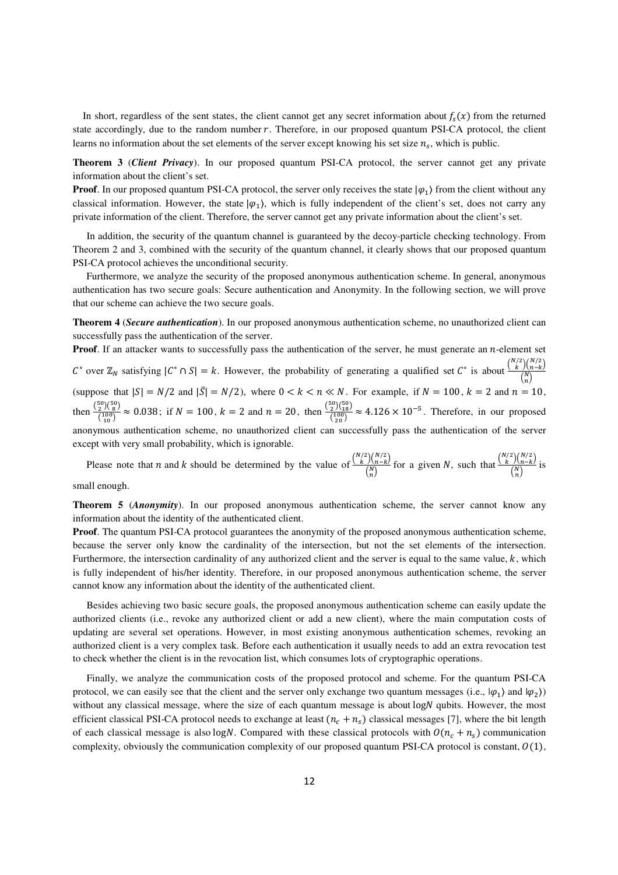In short, regardless of the sent states, the client cannot get any secret information about  $f_s(x)$  from the returned state accordingly, due to the random number  $r$ . Therefore, in our proposed quantum PSI-CA protocol, the client learns no information about the set elements of the server except knowing his set size  $n_s$ , which is public.

**Theorem 3** (*Client Privacy*). In our proposed quantum PSI-CA protocol, the server cannot get any private information about the client's set.

**Proof**. In our proposed quantum PSI-CA protocol, the server only receives the state  $|\varphi_1\rangle$  from the client without any classical information. However, the state  $|\varphi_1\rangle$ , which is fully independent of the client's set, does not carry any private information of the client. Therefore, the server cannot get any private information about the client's set.

In addition, the security of the quantum channel is guaranteed by the decoy-particle checking technology. From Theorem 2 and 3, combined with the security of the quantum channel, it clearly shows that our proposed quantum PSI-CA protocol achieves the unconditional security.

Furthermore, we analyze the security of the proposed anonymous authentication scheme. In general, anonymous authentication has two secure goals: Secure authentication and Anonymity. In the following section, we will prove that our scheme can achieve the two secure goals.

**Theorem 4** (*Secure authentication*). In our proposed anonymous authentication scheme, no unauthorized client can successfully pass the authentication of the server.

**Proof**. If an attacker wants to successfully pass the authentication of the server, he must generate an *n*-element set  $C^*$  over  $\mathbb{Z}_N$  satisfying  $|C^* \cap S| = k$ . However, the probability of generating a qualified set  $C^*$  is about  $\frac{\binom{N/2}{k} \binom{N/2}{N-k}}{\binom{N}{k}}$  $\binom{N}{n}$ (suppose that  $|S| = N/2$  and  $|\bar{S}| = N/2$ ), where  $0 < k < n \ll N$ . For example, if  $N = 100$ ,  $k = 2$  and  $n = 10$ , then  $\frac{\binom{50}{2}\binom{50}{8}}{\binom{100}{8}}$  $\frac{25(0.80)}{10(1.80)} \approx 0.038$ ; if  $N = 100$ ,  $k = 2$  and  $n = 20$ , then  $\frac{\binom{50}{2}\binom{50}{1.80}}{\binom{100}{20}}$  $\frac{2^{1/18}}{\binom{100}{20}} \approx 4.126 \times 10^{-5}$ . Therefore, in our proposed anonymous authentication scheme, no unauthorized client can successfully pass the authentication of the server except with very small probability, which is ignorable.

Please note that *n* and *k* should be determined by the value of  $\frac{\binom{N/2}{K}\binom{N/2}{n-k}}{\binom{N}{k}}$  $\frac{\binom{N}{2}\binom{N}{2}}{\binom{N}{n}}$  for a given N, such that  $\frac{\binom{N}{2}\binom{N}{n-k}}{\binom{N}{n}}$  $\frac{\binom{n-k}{n}}{\binom{N}{n}}$  is

small enough.

**Theorem 5** (*Anonymity*). In our proposed anonymous authentication scheme, the server cannot know any information about the identity of the authenticated client.

**Proof.** The quantum PSI-CA protocol guarantees the anonymity of the proposed anonymous authentication scheme, because the server only know the cardinality of the intersection, but not the set elements of the intersection. Furthermore, the intersection cardinality of any authorized client and the server is equal to the same value,  $k$ , which is fully independent of his/her identity. Therefore, in our proposed anonymous authentication scheme, the server cannot know any information about the identity of the authenticated client.

Besides achieving two basic secure goals, the proposed anonymous authentication scheme can easily update the authorized clients (i.e., revoke any authorized client or add a new client), where the main computation costs of updating are several set operations. However, in most existing anonymous authentication schemes, revoking an authorized client is a very complex task. Before each authentication it usually needs to add an extra revocation test to check whether the client is in the revocation list, which consumes lots of cryptographic operations.

Finally, we analyze the communication costs of the proposed protocol and scheme. For the quantum PSI-CA protocol, we can easily see that the client and the server only exchange two quantum messages (i.e.,  $|\varphi_1\rangle$  and  $|\varphi_2\rangle$ ) without any classical message, where the size of each quantum message is about logN qubits. However, the most efficient classical PSI-CA protocol needs to exchange at least  $(n_c + n_s)$  classical messages [7], where the bit length of each classical message is also logN. Compared with these classical protocols with  $O(n_c + n_s)$  communication complexity, obviously the communication complexity of our proposed quantum PSI-CA protocol is constant,  $O(1)$ ,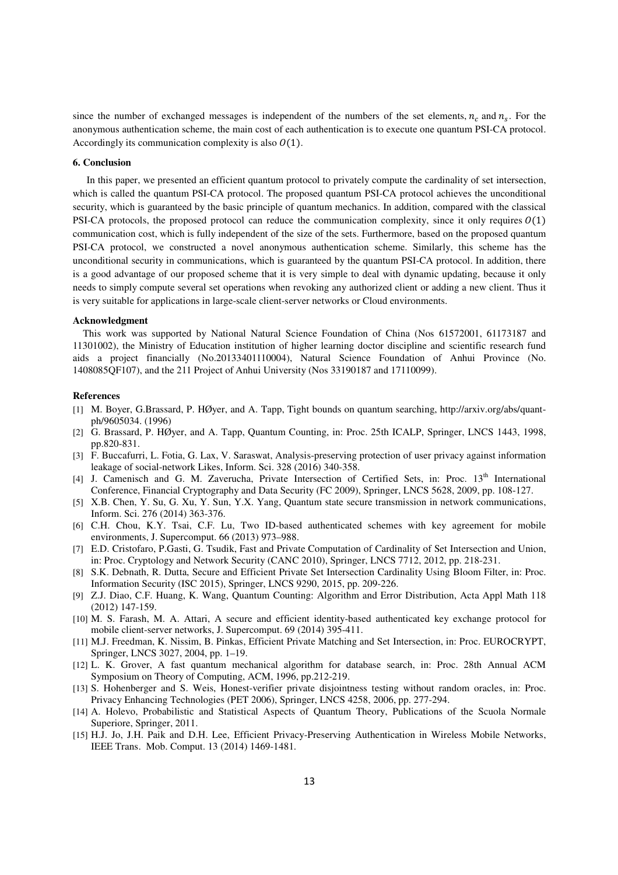since the number of exchanged messages is independent of the numbers of the set elements,  $n_c$  and  $n_s$ . For the anonymous authentication scheme, the main cost of each authentication is to execute one quantum PSI-CA protocol. Accordingly its communication complexity is also  $O(1)$ .

#### **6. Conclusion**

In this paper, we presented an efficient quantum protocol to privately compute the cardinality of set intersection, which is called the quantum PSI-CA protocol. The proposed quantum PSI-CA protocol achieves the unconditional security, which is guaranteed by the basic principle of quantum mechanics. In addition, compared with the classical PSI-CA protocols, the proposed protocol can reduce the communication complexity, since it only requires  $O(1)$ communication cost, which is fully independent of the size of the sets. Furthermore, based on the proposed quantum PSI-CA protocol, we constructed a novel anonymous authentication scheme. Similarly, this scheme has the unconditional security in communications, which is guaranteed by the quantum PSI-CA protocol. In addition, there is a good advantage of our proposed scheme that it is very simple to deal with dynamic updating, because it only needs to simply compute several set operations when revoking any authorized client or adding a new client. Thus it is very suitable for applications in large-scale client-server networks or Cloud environments.

#### **Acknowledgment**

This work was supported by National Natural Science Foundation of China (Nos 61572001, 61173187 and 11301002), the Ministry of Education institution of higher learning doctor discipline and scientific research fund aids a project financially (No.20133401110004), Natural Science Foundation of Anhui Province (No. 1408085QF107), and the 211 Project of Anhui University (Nos 33190187 and 17110099).

#### **References**

- [1] M. Boyer, G.Brassard, P. HØyer, and A. Tapp, Tight bounds on quantum searching, http://arxiv.org/abs/quantph/9605034. (1996)
- [2] G. Brassard, P. HØyer, and A. Tapp, Quantum Counting, in: Proc. 25th ICALP, Springer, LNCS 1443, 1998, pp.820-831.
- [3] F. Buccafurri, L. Fotia, G. Lax, V. Saraswat, Analysis-preserving protection of user privacy against information leakage of social-network Likes, Inform. Sci. 328 (2016) 340-358.
- [4] J. Camenisch and G. M. Zaverucha, Private Intersection of Certified Sets, in: Proc. 13<sup>th</sup> International Conference, Financial Cryptography and Data Security (FC 2009), Springer, LNCS 5628, 2009, pp. 108-127.
- [5] X.B. Chen, Y. Su, G. Xu, Y. Sun, Y.X. Yang, Quantum state secure transmission in network communications, Inform. Sci. 276 (2014) 363-376.
- [6] C.H. Chou, K.Y. Tsai, C.F. Lu, Two ID-based authenticated schemes with key agreement for mobile environments, J. Supercomput. 66 (2013) 973–988.
- [7] E.D. Cristofaro, P.Gasti, G. Tsudik, Fast and Private Computation of Cardinality of Set Intersection and Union, in: Proc. Cryptology and Network Security (CANC 2010), Springer, LNCS 7712, 2012, pp. 218-231.
- [8] S.K. Debnath, R. Dutta, Secure and Efficient Private Set Intersection Cardinality Using Bloom Filter, in: Proc. Information Security (ISC 2015), Springer, LNCS 9290, 2015, pp. 209-226.
- [9] Z.J. Diao, C.F. Huang, K. Wang, Quantum Counting: Algorithm and Error Distribution, Acta Appl Math 118 (2012) 147-159.
- [10] M. S. Farash, M. A. Attari, A secure and efficient identity-based authenticated key exchange protocol for mobile client-server networks, J. Supercomput. 69 (2014) 395-411.
- [11] M.J. Freedman, K. Nissim, B. Pinkas, Efficient Private Matching and Set Intersection, in: Proc. EUROCRYPT, Springer, LNCS 3027, 2004, pp. 1–19.
- [12] L. K. Grover, A fast quantum mechanical algorithm for database search, in: Proc. 28th Annual ACM Symposium on Theory of Computing, ACM, 1996, pp.212-219.
- [13] S. Hohenberger and S. Weis, Honest-verifier private disjointness testing without random oracles, in: Proc. Privacy Enhancing Technologies (PET 2006), Springer, LNCS 4258, 2006, pp. 277-294.
- [14] A. Holevo, Probabilistic and Statistical Aspects of Quantum Theory, Publications of the Scuola Normale Superiore, Springer, 2011.
- [15] H.J. Jo, J.H. Paik and D.H. Lee, Efficient Privacy-Preserving Authentication in Wireless Mobile Networks, IEEE Trans. Mob. Comput. 13 (2014) 1469-1481.